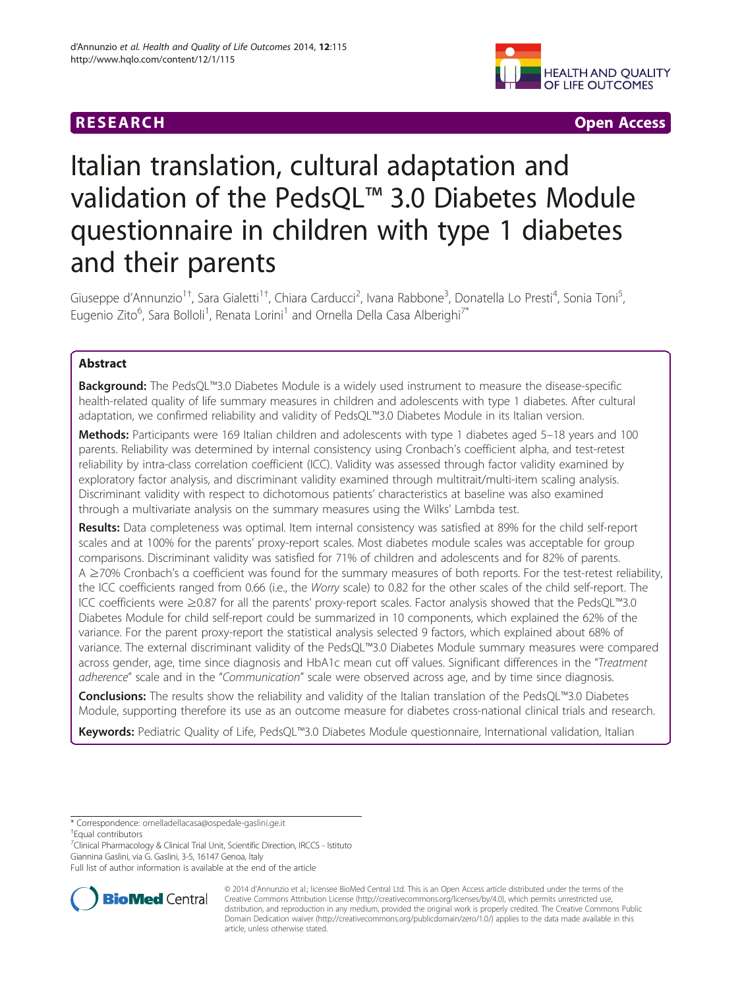# **RESEARCH CHEAR CHEAR CHEAR CHEAR CHEAR CHEAR CHEAR CHEAR CHEAR CHEAR CHEAR CHEAR CHEAR CHEAR CHEAR CHEAR CHEAR**



# Italian translation, cultural adaptation and validation of the PedsQL™ 3.0 Diabetes Module questionnaire in children with type 1 diabetes and their parents

Giuseppe d'Annunzio<sup>1†</sup>, Sara Gialetti<sup>1†</sup>, Chiara Carducci<sup>2</sup>, Ivana Rabbone<sup>3</sup>, Donatella Lo Presti<sup>4</sup>, Sonia Toni<sup>5</sup> , Eugenio Zito<sup>6</sup>, Sara Bolloli<sup>1</sup>, Renata Lorini<sup>1</sup> and Ornella Della Casa Alberighi<sup>7\*</sup>

# Abstract

Background: The PedsQL™3.0 Diabetes Module is a widely used instrument to measure the disease-specific health-related quality of life summary measures in children and adolescents with type 1 diabetes. After cultural adaptation, we confirmed reliability and validity of PedsQL™3.0 Diabetes Module in its Italian version.

Methods: Participants were 169 Italian children and adolescents with type 1 diabetes aged 5-18 years and 100 parents. Reliability was determined by internal consistency using Cronbach's coefficient alpha, and test-retest reliability by intra-class correlation coefficient (ICC). Validity was assessed through factor validity examined by exploratory factor analysis, and discriminant validity examined through multitrait/multi-item scaling analysis. Discriminant validity with respect to dichotomous patients' characteristics at baseline was also examined through a multivariate analysis on the summary measures using the Wilks' Lambda test.

Results: Data completeness was optimal. Item internal consistency was satisfied at 89% for the child self-report scales and at 100% for the parents' proxy-report scales. Most diabetes module scales was acceptable for group comparisons. Discriminant validity was satisfied for 71% of children and adolescents and for 82% of parents. A ≥70% Cronbach's α coefficient was found for the summary measures of both reports. For the test-retest reliability, the ICC coefficients ranged from 0.66 (i.e., the Worry scale) to 0.82 for the other scales of the child self-report. The ICC coefficients were ≥0.87 for all the parents' proxy-report scales. Factor analysis showed that the PedsQL™3.0 Diabetes Module for child self-report could be summarized in 10 components, which explained the 62% of the variance. For the parent proxy-report the statistical analysis selected 9 factors, which explained about 68% of variance. The external discriminant validity of the PedsQL™3.0 Diabetes Module summary measures were compared across gender, age, time since diagnosis and HbA1c mean cut off values. Significant differences in the "Treatment adherence" scale and in the "Communication" scale were observed across age, and by time since diagnosis.

Conclusions: The results show the reliability and validity of the Italian translation of the PedsQL™3.0 Diabetes Module, supporting therefore its use as an outcome measure for diabetes cross-national clinical trials and research.

Keywords: Pediatric Quality of Life, PedsQL™3.0 Diabetes Module questionnaire, International validation, Italian

\* Correspondence: [ornelladellacasa@ospedale-gaslini.ge.it](mailto:ornelladellacasa@ospedale-gaslini.ge.it) †

Equal contributors

<sup>7</sup>Clinical Pharmacology & Clinical Trial Unit, Scientific Direction, IRCCS - Istituto Giannina Gaslini, via G. Gaslini, 3-5, 16147 Genoa, Italy

Full list of author information is available at the end of the article



© 2014 d'Annunzio et al.; licensee BioMed Central Ltd. This is an Open Access article distributed under the terms of the Creative Commons Attribution License (<http://creativecommons.org/licenses/by/4.0>), which permits unrestricted use, distribution, and reproduction in any medium, provided the original work is properly credited. The Creative Commons Public Domain Dedication waiver [\(http://creativecommons.org/publicdomain/zero/1.0/\)](http://creativecommons.org/publicdomain/zero/1.0/) applies to the data made available in this article, unless otherwise stated.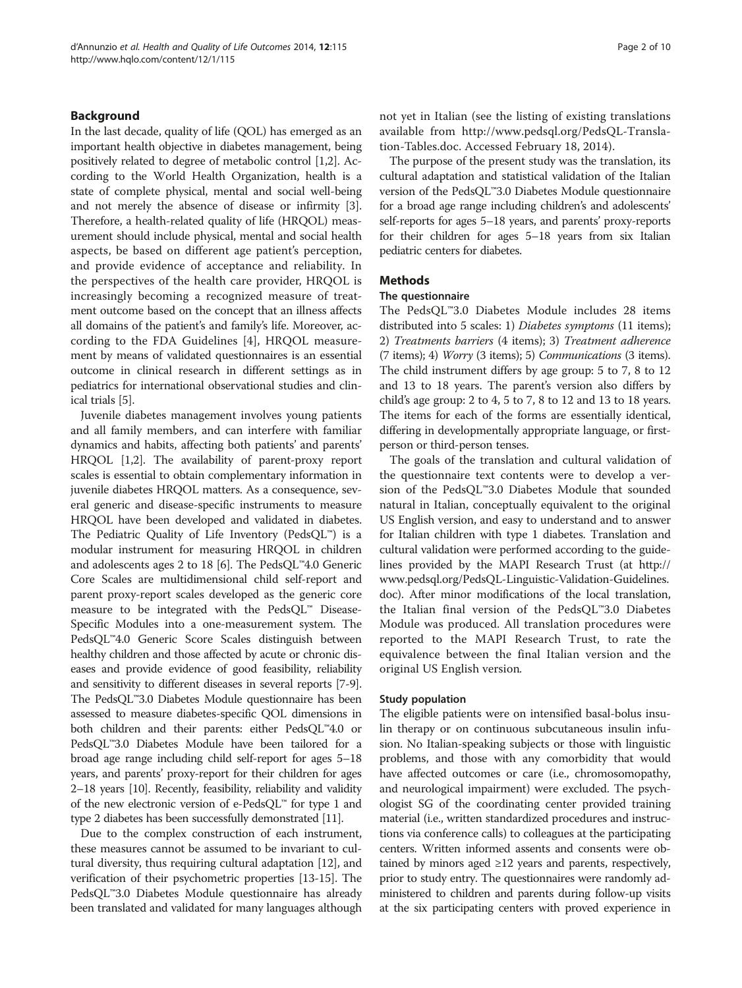# Background

In the last decade, quality of life (QOL) has emerged as an important health objective in diabetes management, being positively related to degree of metabolic control [\[1,2\]](#page-8-0). According to the World Health Organization, health is a state of complete physical, mental and social well-being and not merely the absence of disease or infirmity [[3](#page-8-0)]. Therefore, a health-related quality of life (HRQOL) measurement should include physical, mental and social health aspects, be based on different age patient's perception, and provide evidence of acceptance and reliability. In the perspectives of the health care provider, HRQOL is increasingly becoming a recognized measure of treatment outcome based on the concept that an illness affects all domains of the patient's and family's life. Moreover, according to the FDA Guidelines [\[4](#page-8-0)], HRQOL measurement by means of validated questionnaires is an essential outcome in clinical research in different settings as in pediatrics for international observational studies and clinical trials [\[5\]](#page-8-0).

Juvenile diabetes management involves young patients and all family members, and can interfere with familiar dynamics and habits, affecting both patients' and parents' HRQOL [\[1,2\]](#page-8-0). The availability of parent-proxy report scales is essential to obtain complementary information in juvenile diabetes HRQOL matters. As a consequence, several generic and disease-specific instruments to measure HRQOL have been developed and validated in diabetes. The Pediatric Quality of Life Inventory (PedsQL™) is a modular instrument for measuring HRQOL in children and adolescents ages 2 to 18 [[6\]](#page-8-0). The PedsQL™4.0 Generic Core Scales are multidimensional child self-report and parent proxy-report scales developed as the generic core measure to be integrated with the PedsQL™ Disease-Specific Modules into a one-measurement system. The PedsQL™4.0 Generic Score Scales distinguish between healthy children and those affected by acute or chronic diseases and provide evidence of good feasibility, reliability and sensitivity to different diseases in several reports [[7](#page-8-0)-[9](#page-8-0)]. The PedsQL™3.0 Diabetes Module questionnaire has been assessed to measure diabetes-specific QOL dimensions in both children and their parents: either PedsQL™4.0 or PedsQL™3.0 Diabetes Module have been tailored for a broad age range including child self-report for ages 5–18 years, and parents' proxy-report for their children for ages 2–18 years [\[10\]](#page-8-0). Recently, feasibility, reliability and validity of the new electronic version of e-PedsQL™ for type 1 and type 2 diabetes has been successfully demonstrated [[11\]](#page-8-0).

Due to the complex construction of each instrument, these measures cannot be assumed to be invariant to cultural diversity, thus requiring cultural adaptation [\[12\]](#page-8-0), and verification of their psychometric properties [\[13-15\]](#page-8-0). The PedsQL™3.0 Diabetes Module questionnaire has already been translated and validated for many languages although not yet in Italian (see the listing of existing translations available from [http://www.pedsql.org/PedsQL-Transla](http://www.pedsql.org/PedsQL-Translation-Tables.doc)[tion-Tables.doc](http://www.pedsql.org/PedsQL-Translation-Tables.doc). Accessed February 18, 2014).

The purpose of the present study was the translation, its cultural adaptation and statistical validation of the Italian version of the PedsQL™3.0 Diabetes Module questionnaire for a broad age range including children's and adolescents' self-reports for ages 5–18 years, and parents' proxy-reports for their children for ages 5–18 years from six Italian pediatric centers for diabetes.

## **Methods**

# The questionnaire

The PedsQL™3.0 Diabetes Module includes 28 items distributed into 5 scales: 1) Diabetes symptoms (11 items); 2) Treatments barriers (4 items); 3) Treatment adherence (7 items); 4) Worry (3 items); 5) Communications (3 items). The child instrument differs by age group: 5 to 7, 8 to 12 and 13 to 18 years. The parent's version also differs by child's age group: 2 to 4, 5 to 7, 8 to 12 and 13 to 18 years. The items for each of the forms are essentially identical, differing in developmentally appropriate language, or firstperson or third-person tenses.

The goals of the translation and cultural validation of the questionnaire text contents were to develop a version of the PedsQL™3.0 Diabetes Module that sounded natural in Italian, conceptually equivalent to the original US English version, and easy to understand and to answer for Italian children with type 1 diabetes. Translation and cultural validation were performed according to the guidelines provided by the MAPI Research Trust (at [http://](http://www.pedsql.org/PedsQL-Linguistic-Validation-Guidelines.doc) [www.pedsql.org/PedsQL-Linguistic-Validation-Guidelines.](http://www.pedsql.org/PedsQL-Linguistic-Validation-Guidelines.doc) [doc](http://www.pedsql.org/PedsQL-Linguistic-Validation-Guidelines.doc)). After minor modifications of the local translation, the Italian final version of the PedsQL™3.0 Diabetes Module was produced. All translation procedures were reported to the MAPI Research Trust, to rate the equivalence between the final Italian version and the original US English version.

#### Study population

The eligible patients were on intensified basal-bolus insulin therapy or on continuous subcutaneous insulin infusion. No Italian-speaking subjects or those with linguistic problems, and those with any comorbidity that would have affected outcomes or care (i.e., chromosomopathy, and neurological impairment) were excluded. The psychologist SG of the coordinating center provided training material (i.e., written standardized procedures and instructions via conference calls) to colleagues at the participating centers. Written informed assents and consents were obtained by minors aged  $\geq 12$  years and parents, respectively, prior to study entry. The questionnaires were randomly administered to children and parents during follow-up visits at the six participating centers with proved experience in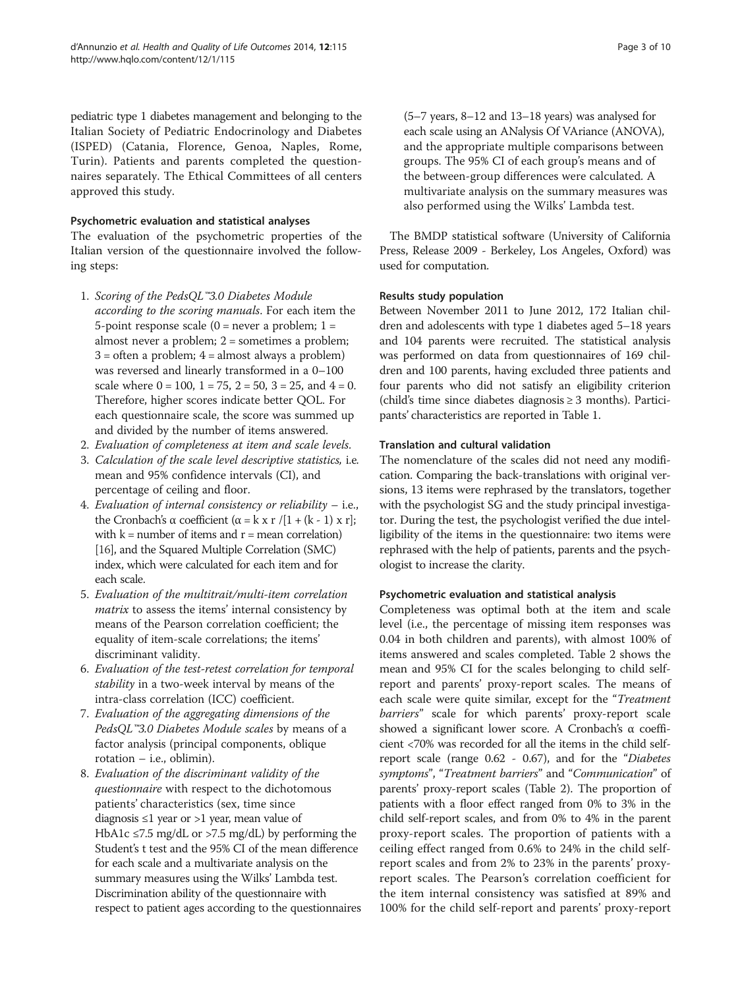pediatric type 1 diabetes management and belonging to the Italian Society of Pediatric Endocrinology and Diabetes (ISPED) (Catania, Florence, Genoa, Naples, Rome, Turin). Patients and parents completed the questionnaires separately. The Ethical Committees of all centers approved this study.

# Psychometric evaluation and statistical analyses

The evaluation of the psychometric properties of the Italian version of the questionnaire involved the following steps:

- 1. Scoring of the PedsQL™3.0 Diabetes Module according to the scoring manuals. For each item the 5-point response scale  $(0 =$  never a problem;  $1 =$ almost never a problem; 2 = sometimes a problem;  $3 =$  often a problem;  $4 =$  almost always a problem) was reversed and linearly transformed in a 0–100 scale where  $0 = 100$ ,  $1 = 75$ ,  $2 = 50$ ,  $3 = 25$ , and  $4 = 0$ . Therefore, higher scores indicate better QOL. For each questionnaire scale, the score was summed up and divided by the number of items answered.
- 2. Evaluation of completeness at item and scale levels.
- 3. Calculation of the scale level descriptive statistics, i.e. mean and 95% confidence intervals (CI), and percentage of ceiling and floor.
- 4. Evaluation of internal consistency or reliability i.e., the Cronbach's α coefficient (α = k x r /[1 + (k - 1) x r]; with  $k =$  number of items and  $r =$  mean correlation) [\[16\]](#page-8-0), and the Squared Multiple Correlation (SMC) index, which were calculated for each item and for each scale.
- 5. Evaluation of the multitrait/multi-item correlation matrix to assess the items' internal consistency by means of the Pearson correlation coefficient; the equality of item-scale correlations; the items' discriminant validity.
- 6. Evaluation of the test-retest correlation for temporal stability in a two-week interval by means of the intra-class correlation (ICC) coefficient.
- 7. Evaluation of the aggregating dimensions of the PedsQL™3.0 Diabetes Module scales by means of a factor analysis (principal components, oblique rotation – i.e., oblimin).
- 8. Evaluation of the discriminant validity of the questionnaire with respect to the dichotomous patients' characteristics (sex, time since diagnosis ≤1 year or >1 year, mean value of HbA1c ≤7.5 mg/dL or >7.5 mg/dL) by performing the Student's t test and the 95% CI of the mean difference for each scale and a multivariate analysis on the summary measures using the Wilks' Lambda test. Discrimination ability of the questionnaire with respect to patient ages according to the questionnaires

(5–7 years, 8–12 and 13–18 years) was analysed for each scale using an ANalysis Of VAriance (ANOVA), and the appropriate multiple comparisons between groups. The 95% CI of each group's means and of the between-group differences were calculated. A multivariate analysis on the summary measures was also performed using the Wilks' Lambda test.

The BMDP statistical software (University of California Press, Release 2009 - Berkeley, Los Angeles, Oxford) was used for computation.

# Results study population

Between November 2011 to June 2012, 172 Italian children and adolescents with type 1 diabetes aged 5–18 years and 104 parents were recruited. The statistical analysis was performed on data from questionnaires of 169 children and 100 parents, having excluded three patients and four parents who did not satisfy an eligibility criterion (child's time since diabetes diagnosis ≥ 3 months). Participants' characteristics are reported in Table [1](#page-3-0).

# Translation and cultural validation

The nomenclature of the scales did not need any modification. Comparing the back-translations with original versions, 13 items were rephrased by the translators, together with the psychologist SG and the study principal investigator. During the test, the psychologist verified the due intelligibility of the items in the questionnaire: two items were rephrased with the help of patients, parents and the psychologist to increase the clarity.

# Psychometric evaluation and statistical analysis

Completeness was optimal both at the item and scale level (i.e., the percentage of missing item responses was 0.04 in both children and parents), with almost 100% of items answered and scales completed. Table [2](#page-3-0) shows the mean and 95% CI for the scales belonging to child selfreport and parents' proxy-report scales. The means of each scale were quite similar, except for the "Treatment barriers" scale for which parents' proxy-report scale showed a significant lower score. A Cronbach's α coefficient <70% was recorded for all the items in the child selfreport scale (range 0.62 - 0.67), and for the "Diabetes symptoms", "Treatment barriers" and "Communication" of parents' proxy-report scales (Table [2\)](#page-3-0). The proportion of patients with a floor effect ranged from 0% to 3% in the child self-report scales, and from 0% to 4% in the parent proxy-report scales. The proportion of patients with a ceiling effect ranged from 0.6% to 24% in the child selfreport scales and from 2% to 23% in the parents' proxyreport scales. The Pearson's correlation coefficient for the item internal consistency was satisfied at 89% and 100% for the child self-report and parents' proxy-report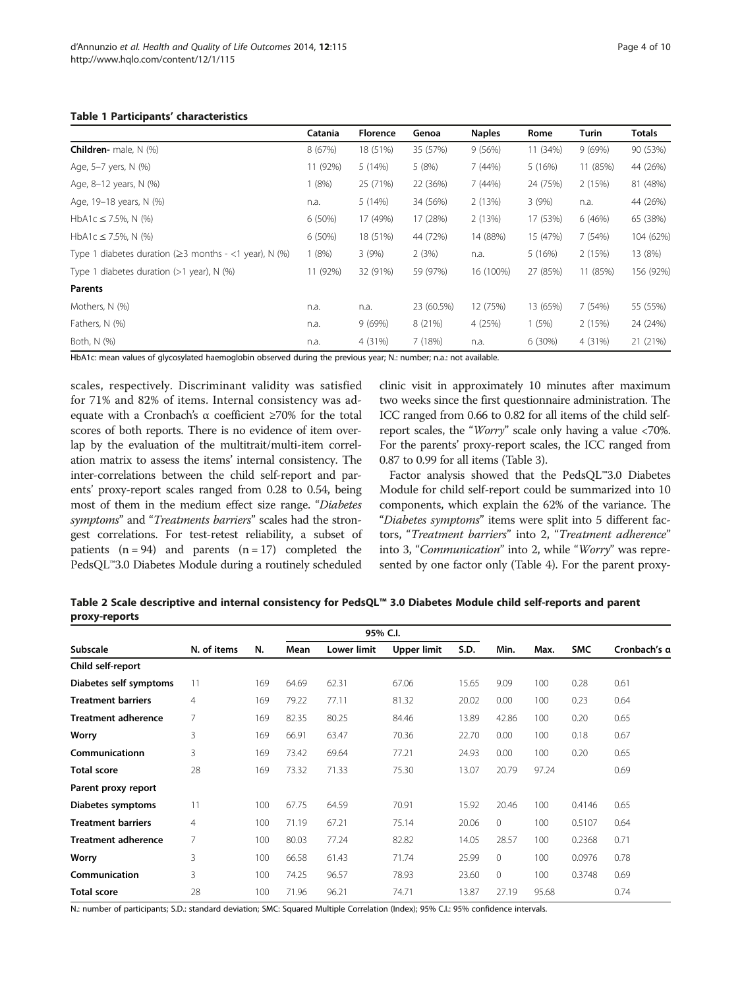### <span id="page-3-0"></span>Table 1 Participants' characteristics

|                                                              | Catania   | <b>Florence</b> | Genoa      | <b>Naples</b> | Rome     | Turin    | Totals    |
|--------------------------------------------------------------|-----------|-----------------|------------|---------------|----------|----------|-----------|
| <b>Children-</b> male, $N$ (%)                               | 8 (67%)   | 18 (51%)        | 35 (57%)   | 9(56%)        | 11 (34%) | 9(69%)   | 90 (53%)  |
| Age, 5-7 yers, N (%)                                         | 11 (92%)  | 5(14%)          | 5(8%)      | 7(44%)        | 5(16%)   | 11 (85%) | 44 (26%)  |
| Age, 8-12 years, N (%)                                       | 1(8%)     | 25 (71%)        | 22 (36%)   | 7(44%)        | 24 (75%) | 2(15%)   | 81 (48%)  |
| Age, 19-18 years, N (%)                                      | n.a.      | 5 (14%)         | 34 (56%)   | 2(13%)        | 3(9%)    | n.a.     | 44 (26%)  |
| HbA1c $\leq$ 7.5%, N (%)                                     | $6(50\%)$ | 17 (49%)        | 17 (28%)   | 2(13%)        | 17 (53%) | 6(46%)   | 65 (38%)  |
| HbA1c $\leq$ 7.5%, N (%)                                     | 6 (50%)   | 18 (51%)        | 44 (72%)   | 14 (88%)      | 15 (47%) | 7 (54%)  | 104 (62%) |
| Type 1 diabetes duration ( $\geq$ 3 months - <1 year), N (%) | 1(8%)     | 3(9%)           | 2(3%)      | n.a.          | 5(16%)   | 2(15%)   | 13 (8%)   |
| Type 1 diabetes duration $(>1$ year), N $(\%)$               | 11 (92%)  | 32 (91%)        | 59 (97%)   | 16 (100%)     | 27 (85%) | 11 (85%) | 156 (92%) |
| Parents                                                      |           |                 |            |               |          |          |           |
| Mothers, N (%)                                               | n.a.      | n.a.            | 23 (60.5%) | 12 (75%)      | 13 (65%) | 7(54%)   | 55 (55%)  |
| Fathers, N (%)                                               | n.a.      | 9(69%)          | 8 (21%)    | 4 (25%)       | 1(5%)    | 2(15%)   | 24 (24%)  |
| Both, N (%)                                                  | n.a.      | 4 (31%)         | 7 (18%)    | n.a.          | 6(30%)   | 4 (31%)  | 21 (21%)  |

HbA1c: mean values of glycosylated haemoglobin observed during the previous year; N.: number; n.a.: not available.

scales, respectively. Discriminant validity was satisfied for 71% and 82% of items. Internal consistency was adequate with a Cronbach's α coefficient ≥70% for the total scores of both reports. There is no evidence of item overlap by the evaluation of the multitrait/multi-item correlation matrix to assess the items' internal consistency. The inter-correlations between the child self-report and parents' proxy-report scales ranged from 0.28 to 0.54, being most of them in the medium effect size range. "Diabetes symptoms" and "Treatments barriers" scales had the strongest correlations. For test-retest reliability, a subset of patients  $(n = 94)$  and parents  $(n = 17)$  completed the PedsQL™3.0 Diabetes Module during a routinely scheduled

clinic visit in approximately 10 minutes after maximum two weeks since the first questionnaire administration. The ICC ranged from 0.66 to 0.82 for all items of the child selfreport scales, the "Worry" scale only having a value <70%. For the parents' proxy-report scales, the ICC ranged from 0.87 to 0.99 for all items (Table [3\)](#page-4-0).

Factor analysis showed that the PedsQL™3.0 Diabetes Module for child self-report could be summarized into 10 components, which explain the 62% of the variance. The "Diabetes symptoms" items were split into 5 different factors, "Treatment barriers" into 2, "Treatment adherence" into 3, "Communication" into 2, while "Worry" was represented by one factor only (Table [4\)](#page-5-0). For the parent proxy-

Table 2 Scale descriptive and internal consistency for PedsQL™ 3.0 Diabetes Module child self-reports and parent proxy-reports

| Subscale                   | N. of items | N.  | Mean  | <b>Lower limit</b> | <b>Upper limit</b> | S.D.  | Min.         | Max.  | <b>SMC</b> | Cronbach's a |
|----------------------------|-------------|-----|-------|--------------------|--------------------|-------|--------------|-------|------------|--------------|
| Child self-report          |             |     |       |                    |                    |       |              |       |            |              |
| Diabetes self symptoms     | 11          | 169 | 64.69 | 62.31              | 67.06              | 15.65 | 9.09         | 100   | 0.28       | 0.61         |
| <b>Treatment barriers</b>  | 4           | 169 | 79.22 | 77.11              | 81.32              | 20.02 | 0.00         | 100   | 0.23       | 0.64         |
| <b>Treatment adherence</b> | 7           | 169 | 82.35 | 80.25              | 84.46              | 13.89 | 42.86        | 100   | 0.20       | 0.65         |
| Worry                      | 3           | 169 | 66.91 | 63.47              | 70.36              | 22.70 | 0.00         | 100   | 0.18       | 0.67         |
| Communicationn             | 3           | 169 | 73.42 | 69.64              | 77.21              | 24.93 | 0.00         | 100   | 0.20       | 0.65         |
| <b>Total score</b>         | 28          | 169 | 73.32 | 71.33              | 75.30              | 13.07 | 20.79        | 97.24 |            | 0.69         |
| Parent proxy report        |             |     |       |                    |                    |       |              |       |            |              |
| Diabetes symptoms          | 11          | 100 | 67.75 | 64.59              | 70.91              | 15.92 | 20.46        | 100   | 0.4146     | 0.65         |
| <b>Treatment barriers</b>  | 4           | 100 | 71.19 | 67.21              | 75.14              | 20.06 | $\mathbf{0}$ | 100   | 0.5107     | 0.64         |
| <b>Treatment adherence</b> | 7           | 100 | 80.03 | 77.24              | 82.82              | 14.05 | 28.57        | 100   | 0.2368     | 0.71         |
| Worry                      | 3           | 100 | 66.58 | 61.43              | 71.74              | 25.99 | $\mathbf{0}$ | 100   | 0.0976     | 0.78         |
| Communication              | 3           | 100 | 74.25 | 96.57              | 78.93              | 23.60 | $\mathbf{0}$ | 100   | 0.3748     | 0.69         |
| <b>Total score</b>         | 28          | 100 | 71.96 | 96.21              | 74.71              | 13.87 | 27.19        | 95.68 |            | 0.74         |

N.: number of participants; S.D.: standard deviation; SMC: Squared Multiple Correlation (Index); 95% C.I.: 95% confidence intervals.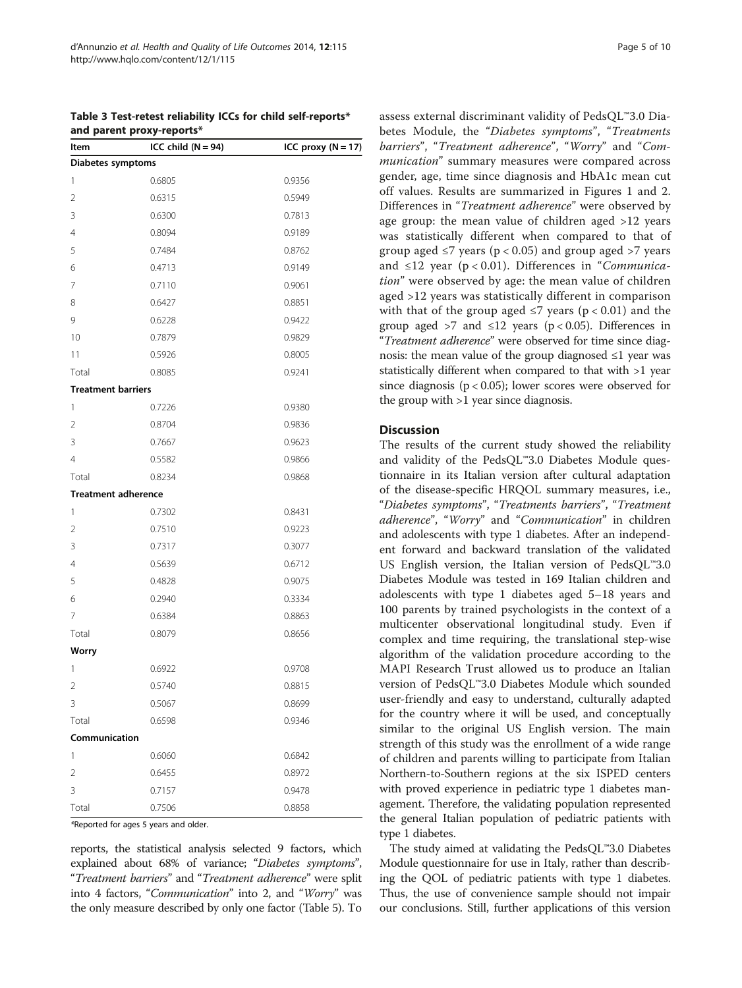|                            | $\cdot$ parametery reports. |                        |
|----------------------------|-----------------------------|------------------------|
| Item                       | ICC child $(N = 94)$        | ICC proxy ( $N = 17$ ) |
| Diabetes symptoms          |                             |                        |
| 1                          | 0.6805                      | 0.9356                 |
| 2                          | 0.6315                      | 0.5949                 |
| 3                          | 0.6300                      | 0.7813                 |
| 4                          | 0.8094                      | 0.9189                 |
| 5                          | 0.7484                      | 0.8762                 |
| 6                          | 0.4713                      | 0.9149                 |
| 7                          | 0.7110                      | 0.9061                 |
| 8                          | 0.6427                      | 0.8851                 |
| 9                          | 0.6228                      | 0.9422                 |
| 10                         | 0.7879                      | 0.9829                 |
| 11                         | 0.5926                      | 0.8005                 |
| Total                      | 0.8085                      | 0.9241                 |
| <b>Treatment barriers</b>  |                             |                        |
| 1                          | 0.7226                      | 0.9380                 |
| 2                          | 0.8704                      | 0.9836                 |
| 3                          | 0.7667                      | 0.9623                 |
| 4                          | 0.5582                      | 0.9866                 |
| Total                      | 0.8234                      | 0.9868                 |
| <b>Treatment adherence</b> |                             |                        |
| 1                          | 0.7302                      | 0.8431                 |
| 2                          | 0.7510                      | 0.9223                 |
| 3                          | 0.7317                      | 0.3077                 |
| 4                          | 0.5639                      | 0.6712                 |
| 5                          | 0.4828                      | 0.9075                 |
| 6                          | 0.2940                      | 0.3334                 |
| 7                          | 0.6384                      | 0.8863                 |
| Total                      | 0.8079                      | 0.8656                 |
| <b>Worry</b>               |                             |                        |
| 1                          | 0.6922                      | 0.9708                 |
| 2                          | 0.5740                      | 0.8815                 |
| 3                          | 0.5067                      | 0.8699                 |
| Total                      | 0.6598                      | 0.9346                 |
| Communication              |                             |                        |
| 1                          | 0.6060                      | 0.6842                 |
| 2                          | 0.6455                      | 0.8972                 |
| 3                          | 0.7157                      | 0.9478                 |
| Total                      | 0.7506                      | 0.8858                 |

<span id="page-4-0"></span>

| Table 3 Test-retest reliability ICCs for child self-reports* |  |
|--------------------------------------------------------------|--|
| and parent proxy-reports*                                    |  |

\*Reported for ages 5 years and older.

reports, the statistical analysis selected 9 factors, which explained about 68% of variance; "Diabetes symptoms", "Treatment barriers" and "Treatment adherence" were split into 4 factors, "Communication" into 2, and "Worry" was the only measure described by only one factor (Table [5](#page-6-0)). To assess external discriminant validity of PedsQL™3.0 Diabetes Module, the "Diabetes symptoms", "Treatments barriers", "Treatment adherence", "Worry" and "Communication" summary measures were compared across gender, age, time since diagnosis and HbA1c mean cut off values. Results are summarized in Figures [1](#page-7-0) and [2](#page-7-0). Differences in "Treatment adherence" were observed by age group: the mean value of children aged >12 years was statistically different when compared to that of group aged  $\leq$ 7 years (p < 0.05) and group aged >7 years and  $\leq$ 12 year (p < 0.01). Differences in "Communication" were observed by age: the mean value of children aged >12 years was statistically different in comparison with that of the group aged  $\leq$ 7 years (p < 0.01) and the group aged >7 and  $\leq 12$  years (p < 0.05). Differences in "Treatment adherence" were observed for time since diagnosis: the mean value of the group diagnosed ≤1 year was statistically different when compared to that with >1 year since diagnosis (p < 0.05); lower scores were observed for the group with >1 year since diagnosis.

#### **Discussion**

The results of the current study showed the reliability and validity of the PedsQL™3.0 Diabetes Module questionnaire in its Italian version after cultural adaptation of the disease-specific HRQOL summary measures, i.e., "Diabetes symptoms", "Treatments barriers", "Treatment adherence", "Worry" and "Communication" in children and adolescents with type 1 diabetes. After an independent forward and backward translation of the validated US English version, the Italian version of PedsQL™3.0 Diabetes Module was tested in 169 Italian children and adolescents with type 1 diabetes aged 5–18 years and 100 parents by trained psychologists in the context of a multicenter observational longitudinal study. Even if complex and time requiring, the translational step-wise algorithm of the validation procedure according to the MAPI Research Trust allowed us to produce an Italian version of PedsQL™3.0 Diabetes Module which sounded user-friendly and easy to understand, culturally adapted for the country where it will be used, and conceptually similar to the original US English version. The main strength of this study was the enrollment of a wide range of children and parents willing to participate from Italian Northern-to-Southern regions at the six ISPED centers with proved experience in pediatric type 1 diabetes management. Therefore, the validating population represented the general Italian population of pediatric patients with type 1 diabetes.

The study aimed at validating the PedsQL™3.0 Diabetes Module questionnaire for use in Italy, rather than describing the QOL of pediatric patients with type 1 diabetes. Thus, the use of convenience sample should not impair our conclusions. Still, further applications of this version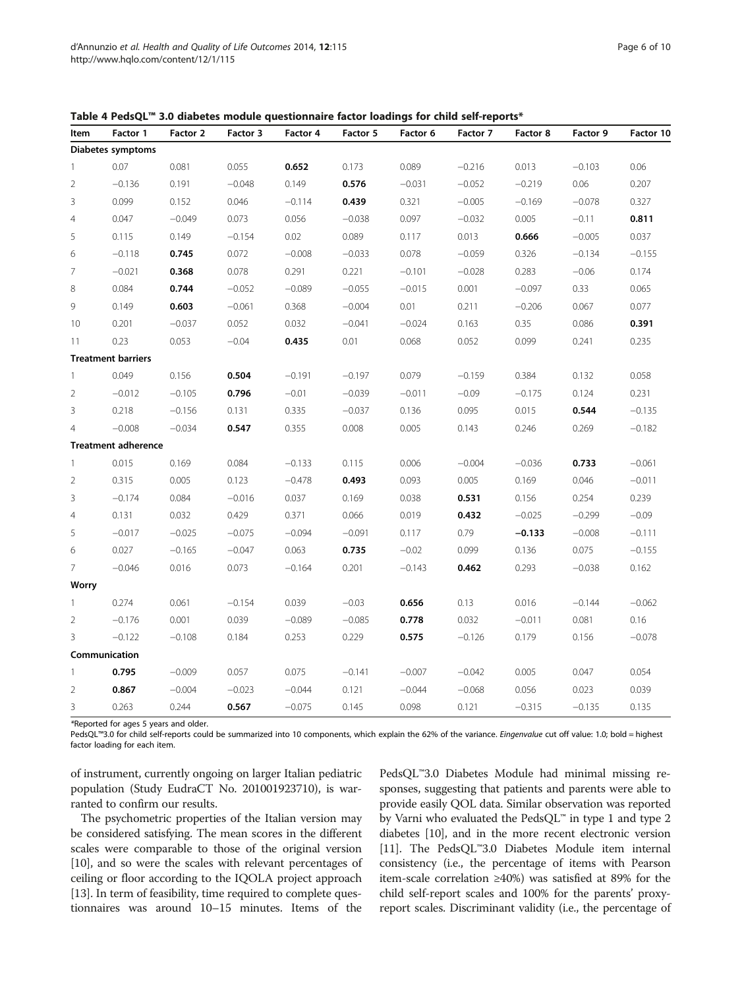| Item                     | Factor 1                   | Factor 2 | on anapeles module questionnane ractor roadings for cima sen reports<br>Factor 3 | Factor 4 | Factor 5 | Factor 6 | Factor 7 | Factor 8 | Factor 9 | Factor 10 |
|--------------------------|----------------------------|----------|----------------------------------------------------------------------------------|----------|----------|----------|----------|----------|----------|-----------|
|                          | Diabetes symptoms          |          |                                                                                  |          |          |          |          |          |          |           |
| $\overline{1}$           | 0.07                       | 0.081    | 0.055                                                                            | 0.652    | 0.173    | 0.089    | $-0.216$ | 0.013    | $-0.103$ | 0.06      |
| $\overline{2}$           | $-0.136$                   | 0.191    | $-0.048$                                                                         | 0.149    | 0.576    | $-0.031$ | $-0.052$ | $-0.219$ | 0.06     | 0.207     |
| 3                        | 0.099                      | 0.152    | 0.046                                                                            | $-0.114$ | 0.439    | 0.321    | $-0.005$ | $-0.169$ | $-0.078$ | 0.327     |
| $\overline{4}$           | 0.047                      | $-0.049$ | 0.073                                                                            | 0.056    | $-0.038$ | 0.097    | $-0.032$ | 0.005    | $-0.11$  | 0.811     |
| 5                        | 0.115                      | 0.149    | $-0.154$                                                                         | 0.02     | 0.089    | 0.117    | 0.013    | 0.666    | $-0.005$ | 0.037     |
| 6                        | $-0.118$                   | 0.745    | 0.072                                                                            | $-0.008$ | $-0.033$ | 0.078    | $-0.059$ | 0.326    | $-0.134$ | $-0.155$  |
| $\overline{7}$           | $-0.021$                   | 0.368    | 0.078                                                                            | 0.291    | 0.221    | $-0.101$ | $-0.028$ | 0.283    | $-0.06$  | 0.174     |
| $\,8\,$                  | 0.084                      | 0.744    | $-0.052$                                                                         | $-0.089$ | $-0.055$ | $-0.015$ | 0.001    | $-0.097$ | 0.33     | 0.065     |
| 9                        | 0.149                      | 0.603    | $-0.061$                                                                         | 0.368    | $-0.004$ | 0.01     | 0.211    | $-0.206$ | 0.067    | 0.077     |
| 10                       | 0.201                      | $-0.037$ | 0.052                                                                            | 0.032    | $-0.041$ | $-0.024$ | 0.163    | 0.35     | 0.086    | 0.391     |
| 11                       | 0.23                       | 0.053    | $-0.04$                                                                          | 0.435    | 0.01     | 0.068    | 0.052    | 0.099    | 0.241    | 0.235     |
|                          | <b>Treatment barriers</b>  |          |                                                                                  |          |          |          |          |          |          |           |
| $\overline{\phantom{a}}$ | 0.049                      | 0.156    | 0.504                                                                            | $-0.191$ | $-0.197$ | 0.079    | $-0.159$ | 0.384    | 0.132    | 0.058     |
| $\overline{2}$           | $-0.012$                   | $-0.105$ | 0.796                                                                            | $-0.01$  | $-0.039$ | $-0.011$ | $-0.09$  | $-0.175$ | 0.124    | 0.231     |
| 3                        | 0.218                      | $-0.156$ | 0.131                                                                            | 0.335    | $-0.037$ | 0.136    | 0.095    | 0.015    | 0.544    | $-0.135$  |
| $\overline{4}$           | $-0.008$                   | $-0.034$ | 0.547                                                                            | 0.355    | 0.008    | 0.005    | 0.143    | 0.246    | 0.269    | $-0.182$  |
|                          | <b>Treatment adherence</b> |          |                                                                                  |          |          |          |          |          |          |           |
| $\overline{1}$           | 0.015                      | 0.169    | 0.084                                                                            | $-0.133$ | 0.115    | 0.006    | $-0.004$ | $-0.036$ | 0.733    | $-0.061$  |
| $\overline{2}$           | 0.315                      | 0.005    | 0.123                                                                            | $-0.478$ | 0.493    | 0.093    | 0.005    | 0.169    | 0.046    | $-0.011$  |
| 3                        | $-0.174$                   | 0.084    | $-0.016$                                                                         | 0.037    | 0.169    | 0.038    | 0.531    | 0.156    | 0.254    | 0.239     |
| $\overline{4}$           | 0.131                      | 0.032    | 0.429                                                                            | 0.371    | 0.066    | 0.019    | 0.432    | $-0.025$ | $-0.299$ | $-0.09$   |
| 5                        | $-0.017$                   | $-0.025$ | $-0.075$                                                                         | $-0.094$ | $-0.091$ | 0.117    | 0.79     | $-0.133$ | $-0.008$ | $-0.111$  |
| 6                        | 0.027                      | $-0.165$ | $-0.047$                                                                         | 0.063    | 0.735    | $-0.02$  | 0.099    | 0.136    | 0.075    | $-0.155$  |
| $\overline{7}$           | $-0.046$                   | 0.016    | 0.073                                                                            | $-0.164$ | 0.201    | $-0.143$ | 0.462    | 0.293    | $-0.038$ | 0.162     |
| Worry                    |                            |          |                                                                                  |          |          |          |          |          |          |           |
| $\mathbf{1}$             | 0.274                      | 0.061    | $-0.154$                                                                         | 0.039    | $-0.03$  | 0.656    | 0.13     | 0.016    | $-0.144$ | $-0.062$  |
| $\overline{2}$           | $-0.176$                   | 0.001    | 0.039                                                                            | $-0.089$ | $-0.085$ | 0.778    | 0.032    | $-0.011$ | 0.081    | 0.16      |
| 3                        | $-0.122$                   | $-0.108$ | 0.184                                                                            | 0.253    | 0.229    | 0.575    | $-0.126$ | 0.179    | 0.156    | $-0.078$  |
|                          | Communication              |          |                                                                                  |          |          |          |          |          |          |           |
| $\overline{1}$           | 0.795                      | $-0.009$ | 0.057                                                                            | 0.075    | $-0.141$ | $-0.007$ | $-0.042$ | 0.005    | 0.047    | 0.054     |
| $\overline{c}$           | 0.867                      | $-0.004$ | $-0.023$                                                                         | $-0.044$ | 0.121    | $-0.044$ | $-0.068$ | 0.056    | 0.023    | 0.039     |
| 3                        | 0.263                      | 0.244    | 0.567                                                                            | $-0.075$ | 0.145    | 0.098    | 0.121    | $-0.315$ | $-0.135$ | 0.135     |

<span id="page-5-0"></span>Table 4 PedsQL™ 3.0 diabetes module questionnaire factor loadings for child self-reports\*

\*Reported for ages 5 years and older.

PedsQL™3.0 for child self-reports could be summarized into 10 components, which explain the 62% of the variance. Eingenvalue cut off value: 1.0; bold = highest factor loading for each item.

of instrument, currently ongoing on larger Italian pediatric population (Study EudraCT No. 201001923710), is warranted to confirm our results.

The psychometric properties of the Italian version may be considered satisfying. The mean scores in the different scales were comparable to those of the original version [[10](#page-8-0)], and so were the scales with relevant percentages of ceiling or floor according to the IQOLA project approach [[13](#page-8-0)]. In term of feasibility, time required to complete questionnaires was around 10–15 minutes. Items of the

PedsQL™3.0 Diabetes Module had minimal missing responses, suggesting that patients and parents were able to provide easily QOL data. Similar observation was reported by Varni who evaluated the PedsQL™ in type 1 and type 2 diabetes [\[10\]](#page-8-0), and in the more recent electronic version [[11](#page-8-0)]. The PedsQL™3.0 Diabetes Module item internal consistency (i.e., the percentage of items with Pearson item-scale correlation ≥40%) was satisfied at 89% for the child self-report scales and 100% for the parents' proxyreport scales. Discriminant validity (i.e., the percentage of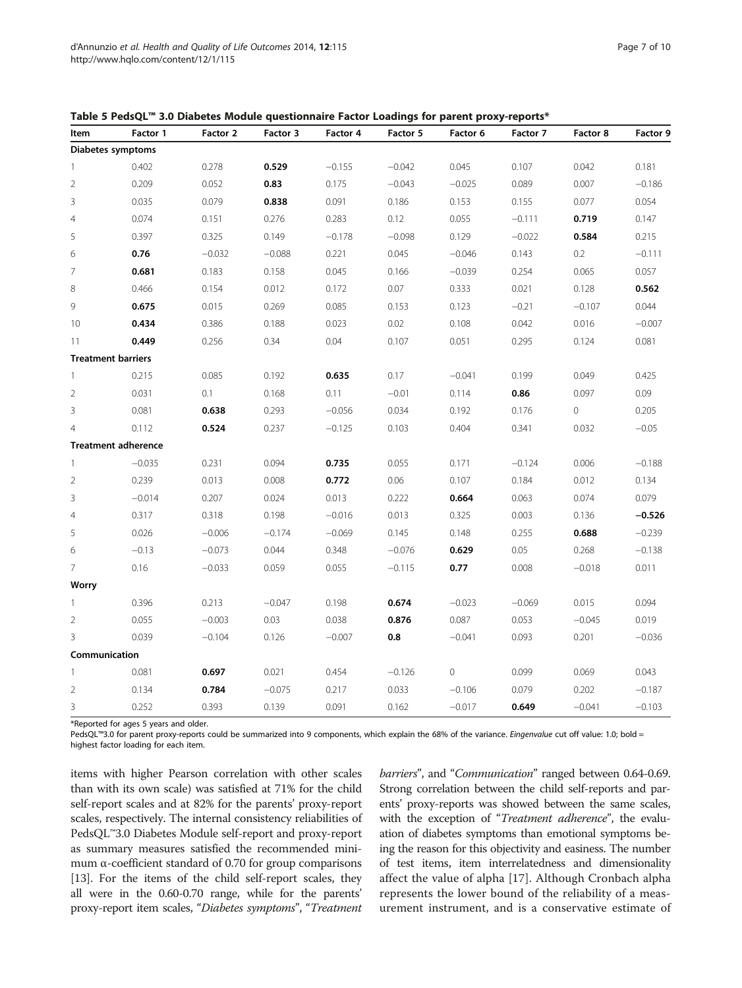| Item           | Factor 1                   | Factor 2 | Factor 3 | Factor 4 | Factor 5 | Factor 6 | Factor 7 | Factor 8       | Factor 9 |
|----------------|----------------------------|----------|----------|----------|----------|----------|----------|----------------|----------|
|                | Diabetes symptoms          |          |          |          |          |          |          |                |          |
| $\mathbf{1}$   | 0.402                      | 0.278    | 0.529    | $-0.155$ | $-0.042$ | 0.045    | 0.107    | 0.042          | 0.181    |
| $\overline{2}$ | 0.209                      | 0.052    | 0.83     | 0.175    | $-0.043$ | $-0.025$ | 0.089    | 0.007          | $-0.186$ |
| 3              | 0.035                      | 0.079    | 0.838    | 0.091    | 0.186    | 0.153    | 0.155    | 0.077          | 0.054    |
| $\overline{4}$ | 0.074                      | 0.151    | 0.276    | 0.283    | 0.12     | 0.055    | $-0.111$ | 0.719          | 0.147    |
| 5              | 0.397                      | 0.325    | 0.149    | $-0.178$ | $-0.098$ | 0.129    | $-0.022$ | 0.584          | 0.215    |
| 6              | 0.76                       | $-0.032$ | $-0.088$ | 0.221    | 0.045    | $-0.046$ | 0.143    | 0.2            | $-0.111$ |
| $\overline{7}$ | 0.681                      | 0.183    | 0.158    | 0.045    | 0.166    | $-0.039$ | 0.254    | 0.065          | 0.057    |
| 8              | 0.466                      | 0.154    | 0.012    | 0.172    | 0.07     | 0.333    | 0.021    | 0.128          | 0.562    |
| 9              | 0.675                      | 0.015    | 0.269    | 0.085    | 0.153    | 0.123    | $-0.21$  | $-0.107$       | 0.044    |
| 10             | 0.434                      | 0.386    | 0.188    | 0.023    | 0.02     | 0.108    | 0.042    | 0.016          | $-0.007$ |
| 11             | 0.449                      | 0.256    | 0.34     | 0.04     | 0.107    | 0.051    | 0.295    | 0.124          | 0.081    |
|                | <b>Treatment barriers</b>  |          |          |          |          |          |          |                |          |
| $\mathbf{1}$   | 0.215                      | 0.085    | 0.192    | 0.635    | 0.17     | $-0.041$ | 0.199    | 0.049          | 0.425    |
| $\overline{2}$ | 0.031                      | 0.1      | 0.168    | 0.11     | $-0.01$  | 0.114    | 0.86     | 0.097          | 0.09     |
| 3              | 0.081                      | 0.638    | 0.293    | $-0.056$ | 0.034    | 0.192    | 0.176    | $\overline{0}$ | 0.205    |
| $\overline{4}$ | 0.112                      | 0.524    | 0.237    | $-0.125$ | 0.103    | 0.404    | 0.341    | 0.032          | $-0.05$  |
|                | <b>Treatment adherence</b> |          |          |          |          |          |          |                |          |
| $\overline{1}$ | $-0.035$                   | 0.231    | 0.094    | 0.735    | 0.055    | 0.171    | $-0.124$ | 0.006          | $-0.188$ |
| $\sqrt{2}$     | 0.239                      | 0.013    | 0.008    | 0.772    | 0.06     | 0.107    | 0.184    | 0.012          | 0.134    |
| 3              | $-0.014$                   | 0.207    | 0.024    | 0.013    | 0.222    | 0.664    | 0.063    | 0.074          | 0.079    |
| $\overline{4}$ | 0.317                      | 0.318    | 0.198    | $-0.016$ | 0.013    | 0.325    | 0.003    | 0.136          | $-0.526$ |
| 5              | 0.026                      | $-0.006$ | $-0.174$ | $-0.069$ | 0.145    | 0.148    | 0.255    | 0.688          | $-0.239$ |
| 6              | $-0.13$                    | $-0.073$ | 0.044    | 0.348    | $-0.076$ | 0.629    | 0.05     | 0.268          | $-0.138$ |
| $\overline{7}$ | 0.16                       | $-0.033$ | 0.059    | 0.055    | $-0.115$ | 0.77     | 0.008    | $-0.018$       | 0.011    |
| Worry          |                            |          |          |          |          |          |          |                |          |
| $\mathbf{1}$   | 0.396                      | 0.213    | $-0.047$ | 0.198    | 0.674    | $-0.023$ | $-0.069$ | 0.015          | 0.094    |
| $\overline{2}$ | 0.055                      | $-0.003$ | 0.03     | 0.038    | 0.876    | 0.087    | 0.053    | $-0.045$       | 0.019    |
| 3              | 0.039                      | $-0.104$ | 0.126    | $-0.007$ | 0.8      | $-0.041$ | 0.093    | 0.201          | $-0.036$ |
| Communication  |                            |          |          |          |          |          |          |                |          |
| $\mathbf{1}$   | 0.081                      | 0.697    | 0.021    | 0.454    | $-0.126$ | $\circ$  | 0.099    | 0.069          | 0.043    |
| $\sqrt{2}$     | 0.134                      | 0.784    | $-0.075$ | 0.217    | 0.033    | $-0.106$ | 0.079    | 0.202          | $-0.187$ |
| 3              | 0.252                      | 0.393    | 0.139    | 0.091    | 0.162    | $-0.017$ | 0.649    | $-0.041$       | $-0.103$ |

<span id="page-6-0"></span>Table 5 PedsQL™ 3.0 Diabetes Module questionnaire Factor Loadings for parent proxy-reports\*

\*Reported for ages 5 years and older.

PedsQL™3.0 for parent proxy-reports could be summarized into 9 components, which explain the 68% of the variance. Eingenvalue cut off value: 1.0; bold = highest factor loading for each item.

items with higher Pearson correlation with other scales than with its own scale) was satisfied at 71% for the child self-report scales and at 82% for the parents' proxy-report scales, respectively. The internal consistency reliabilities of PedsQL™3.0 Diabetes Module self-report and proxy-report as summary measures satisfied the recommended minimum α-coefficient standard of 0.70 for group comparisons [[13](#page-8-0)]. For the items of the child self-report scales, they all were in the 0.60-0.70 range, while for the parents' proxy-report item scales, "Diabetes symptoms", "Treatment

barriers", and "Communication" ranged between 0.64-0.69. Strong correlation between the child self-reports and parents' proxy-reports was showed between the same scales, with the exception of "Treatment adherence", the evaluation of diabetes symptoms than emotional symptoms being the reason for this objectivity and easiness. The number of test items, item interrelatedness and dimensionality affect the value of alpha [\[17\]](#page-8-0). Although Cronbach alpha represents the lower bound of the reliability of a measurement instrument, and is a conservative estimate of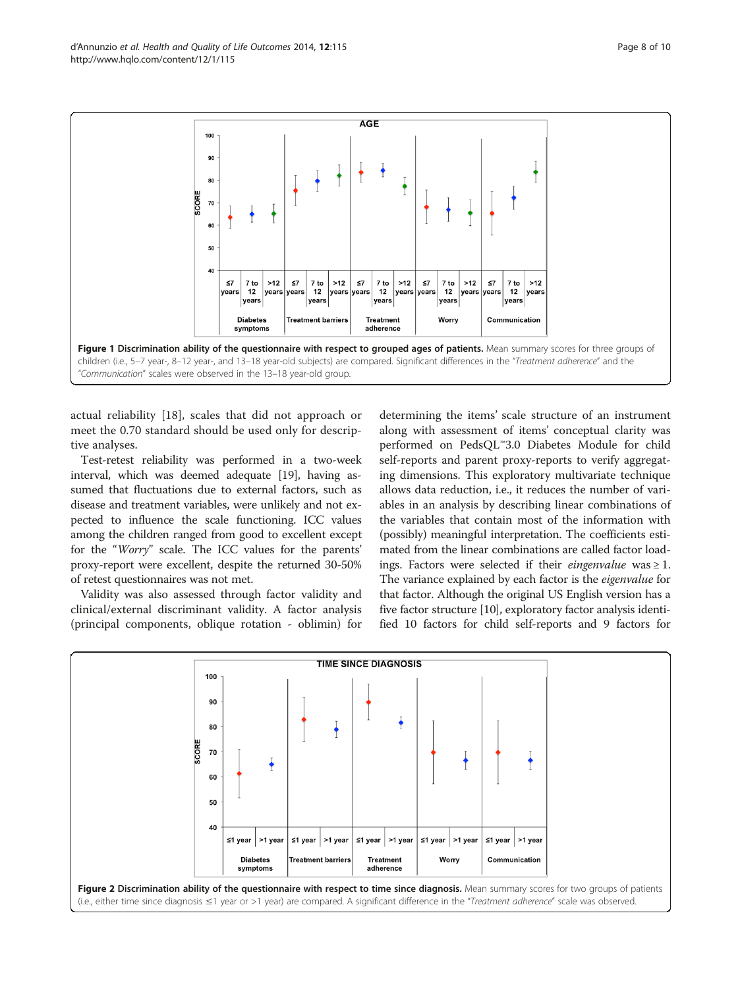<span id="page-7-0"></span>d'Annunzio et al. Health and Quality of Life Outcomes 2014, 12:115 extending the state of the Page 8 of 10 http://www.hqlo.com/content/12/1/115



actual reliability [[18\]](#page-8-0), scales that did not approach or meet the 0.70 standard should be used only for descriptive analyses.

Test-retest reliability was performed in a two-week interval, which was deemed adequate [\[19](#page-9-0)], having assumed that fluctuations due to external factors, such as disease and treatment variables, were unlikely and not expected to influence the scale functioning. ICC values among the children ranged from good to excellent except for the "Worry" scale. The ICC values for the parents' proxy-report were excellent, despite the returned 30-50% of retest questionnaires was not met.

Validity was also assessed through factor validity and clinical/external discriminant validity. A factor analysis (principal components, oblique rotation - oblimin) for

determining the items' scale structure of an instrument along with assessment of items' conceptual clarity was performed on PedsQL™3.0 Diabetes Module for child self-reports and parent proxy-reports to verify aggregating dimensions. This exploratory multivariate technique allows data reduction, i.e., it reduces the number of variables in an analysis by describing linear combinations of the variables that contain most of the information with (possibly) meaningful interpretation. The coefficients estimated from the linear combinations are called factor loadings. Factors were selected if their *eingenvalue* was  $\geq 1$ . The variance explained by each factor is the *eigenvalue* for that factor. Although the original US English version has a five factor structure [\[10](#page-8-0)], exploratory factor analysis identified 10 factors for child self-reports and 9 factors for

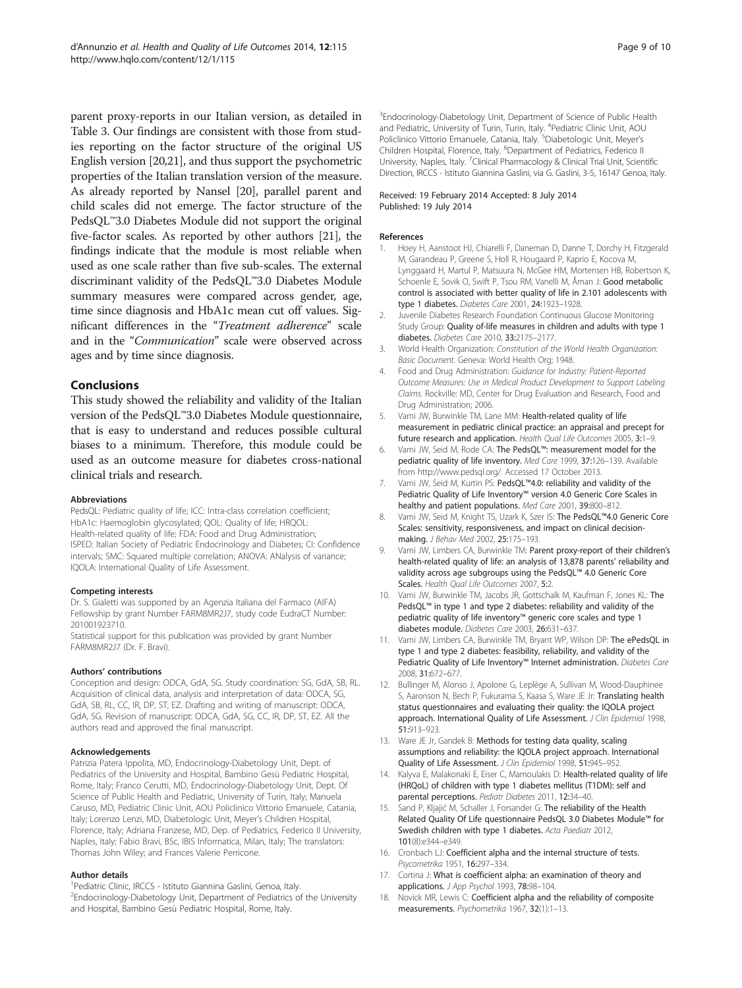<span id="page-8-0"></span>parent proxy-reports in our Italian version, as detailed in Table [3.](#page-4-0) Our findings are consistent with those from studies reporting on the factor structure of the original US English version [[20,21\]](#page-9-0), and thus support the psychometric properties of the Italian translation version of the measure. As already reported by Nansel [[20](#page-9-0)], parallel parent and child scales did not emerge. The factor structure of the PedsQL™3.0 Diabetes Module did not support the original five-factor scales. As reported by other authors [\[21\]](#page-9-0), the findings indicate that the module is most reliable when used as one scale rather than five sub-scales. The external discriminant validity of the PedsQL™3.0 Diabetes Module summary measures were compared across gender, age, time since diagnosis and HbA1c mean cut off values. Significant differences in the "Treatment adherence" scale and in the "Communication" scale were observed across ages and by time since diagnosis.

# Conclusions

This study showed the reliability and validity of the Italian version of the PedsQL™3.0 Diabetes Module questionnaire, that is easy to understand and reduces possible cultural biases to a minimum. Therefore, this module could be used as an outcome measure for diabetes cross-national clinical trials and research.

#### Abbreviations

PedsQL: Pediatric quality of life; ICC: Intra-class correlation coefficient; HbA1c: Haemoglobin glycosylated; QOL: Quality of life; HRQOL: Health-related quality of life; FDA: Food and Drug Administration; ISPED: Italian Society of Pediatric Endocrinology and Diabetes; CI: Confidence intervals; SMC: Squared multiple correlation; ANOVA: ANalysis of variance; IQOLA: International Quality of Life Assessment.

#### Competing interests

Dr. S. Gialetti was supported by an Agenzia Italiana del Farmaco (AIFA) Fellowship by grant Number FARM8MR2J7, study code EudraCT Number: 201001923710.

Statistical support for this publication was provided by grant Number FARM8MR2J7 (Dr. F. Bravi).

#### Authors' contributions

Conception and design: ODCA, GdA, SG. Study coordination: SG, GdA, SB, RL. Acquisition of clinical data, analysis and interpretation of data: ODCA, SG, GdA, SB, RL, CC, IR, DP, ST, EZ. Drafting and writing of manuscript: ODCA, GdA, SG. Revision of manuscript: ODCA, GdA, SG, CC, IR, DP, ST, EZ. All the authors read and approved the final manuscript.

#### Acknowledgements

Patrizia Patera Ippolita, MD, Endocrinology-Diabetology Unit, Dept. of Pediatrics of the University and Hospital, Bambino Gesù Pediatric Hospital, Rome, Italy; Franco Cerutti, MD, Endocrinology-Diabetology Unit, Dept. Of Science of Public Health and Pediatric, University of Turin, Italy; Manuela Caruso, MD, Pediatric Clinic Unit, AOU Policlinico Vittorio Emanuele, Catania, Italy; Lorenzo Lenzi, MD, Diabetologic Unit, Meyer's Children Hospital, Florence, Italy; Adriana Franzese, MD, Dep. of Pediatrics, Federico II University, Naples, Italy; Fabio Bravi, BSc, IBIS Informatica, Milan, Italy; The translators: Thomas John Wiley; and Frances Valerie Perricone.

#### Author details

<sup>1</sup> Pediatric Clinic, IRCCS - Istituto Giannina Gaslini, Genoa, Italy. <sup>2</sup> Endocrinology-Diabetology Unit, Department of Pediatrics of the University and Hospital, Bambino Gesù Pediatric Hospital, Rome, Italy.

<sup>3</sup>Endocrinology-Diabetology Unit, Department of Science of Public Health and Pediatric, University of Turin, Turin, Italy. <sup>4</sup> Pediatric Clinic Unit, AOU Policlinico Vittorio Emanuele, Catania, Italy. <sup>5</sup>Diabetologic Unit, Meyer's Children Hospital, Florence, Italy. <sup>6</sup>Department of Pediatrics, Federico II University, Naples, Italy. <sup>7</sup>Clinical Pharmacology & Clinical Trial Unit, Scientific Direction, IRCCS - Istituto Giannina Gaslini, via G. Gaslini, 3-5, 16147 Genoa, Italy.

#### Received: 19 February 2014 Accepted: 8 July 2014 Published: 19 July 2014

#### References

- 1. Hoey H, Aanstoot HJ, Chiarelli F, Daneman D, Danne T, Dorchy H, Fitzgerald M, Garandeau P, Greene S, Holl R, Hougaard P, Kaprio E, Kocova M, Lynggaard H, Martul P, Matsuura N, McGee HM, Mortensen HB, Robertson K, Schoenle E, Sovik O, Swift P, Tsou RM, Vanelli M, Åman J: Good metabolic control is associated with better quality of life in 2.101 adolescents with type 1 diabetes. Diabetes Care 2001, 24:1923–1928.
- 2. Juvenile Diabetes Research Foundation Continuous Glucose Monitoring Study Group: Quality of-life measures in children and adults with type 1 diabetes. Diabetes Care 2010, 33:2175–2177.
- 3. World Health Organization: Constitution of the World Health Organization: Basic Document. Geneva: World Health Org; 1948.
- 4. Food and Drug Administration: Guidance for Industry: Patient-Reported Outcome Measures: Use in Medical Product Development to Support Labeling Claims. Rockville: MD, Center for Drug Evaluation and Research, Food and Drug Administration; 2006.
- 5. Varni JW, Burwinkle TM, Lane MM: Health-related quality of life measurement in pediatric clinical practice: an appraisal and precept for future research and application. Health Qual Life Outcomes 2005, 3:1–9.
- 6. Varni JW, Seid M, Rode CA: The PedsQL™: measurement model for the pediatric quality of life inventory. Med Care 1999, 37:126–139. Available from<http://www.pedsql.org/>. Accessed 17 October 2013.
- 7. Varni JW, Seid M, Kurtin PS: PedsQL™4.0: reliability and validity of the Pediatric Quality of Life Inventory™ version 4.0 Generic Core Scales in healthy and patient populations. Med Care 2001, 39:800–812.
- 8. Varni JW, Seid M, Knight TS, Uzark K, Szer IS: The PedsQL™4.0 Generic Core Scales: sensitivity, responsiveness, and impact on clinical decisionmaking. J Behav Med 2002, 25:175–193.
- Varni JW, Limbers CA, Burwinkle TM: Parent proxy-report of their children's health-related quality of life: an analysis of 13,878 parents' reliability and validity across age subgroups using the PedsQL™ 4.0 Generic Core Scales. Health Qual Life Outcomes 2007, 5:2.
- 10. Varni JW, Burwinkle TM, Jacobs JR, Gottschalk M, Kaufman F, Jones KL: The PedsQL™ in type 1 and type 2 diabetes: reliability and validity of the pediatric quality of life inventory™ generic core scales and type 1 diabetes module. Diabetes Care 2003, 26:631–637.
- 11. Varni JW, Limbers CA, Burwinkle TM, Bryant WP, Wilson DP: The ePedsQL in type 1 and type 2 diabetes: feasibility, reliability, and validity of the Pediatric Quality of Life Inventory™ Internet administration. Diabetes Care 2008, 31:672–677.
- 12. Bullinger M, Alonso J, Apolone G, Leplège A, Sullivan M, Wood-Dauphinee S, Aaronson N, Bech P, Fukurama S, Kaasa S, Ware JE Jr: Translating health status questionnaires and evaluating their quality: the IQOLA project approach. International Quality of Life Assessment. J Clin Epidemiol 1998, 51:913–923.
- 13. Ware JE Jr, Gandek B: Methods for testing data quality, scaling assumptions and reliability: the IQOLA project approach. International Quality of Life Assessment. J Clin Epidemiol 1998, 51:945-952.
- 14. Kalyva E, Malakonaki E, Eiser C, Mamoulakis D: Health-related quality of life (HRQoL) of children with type 1 diabetes mellitus (T1DM): self and parental perceptions. Pediatr Diabetes 2011, 12:34-40.
- 15. Sand P, Kljajić M, Schaller J, Forsander G: The reliability of the Health Related Quality Of Life questionnaire PedsQL 3.0 Diabetes Module™ for Swedish children with type 1 diabetes. Acta Paediatr 2012, 101(8):e344–e349.
- 16. Cronbach LJ: Coefficient alpha and the internal structure of tests. Psycometrika 1951, 16:297–334.
- 17. Cortina J: What is coefficient alpha: an examination of theory and applications. J App Psychol 1993, 78:98-104.
- 18. Novick MR, Lewis C: Coefficient alpha and the reliability of composite measurements. Psychometrika 1967, 32(1):1–13.